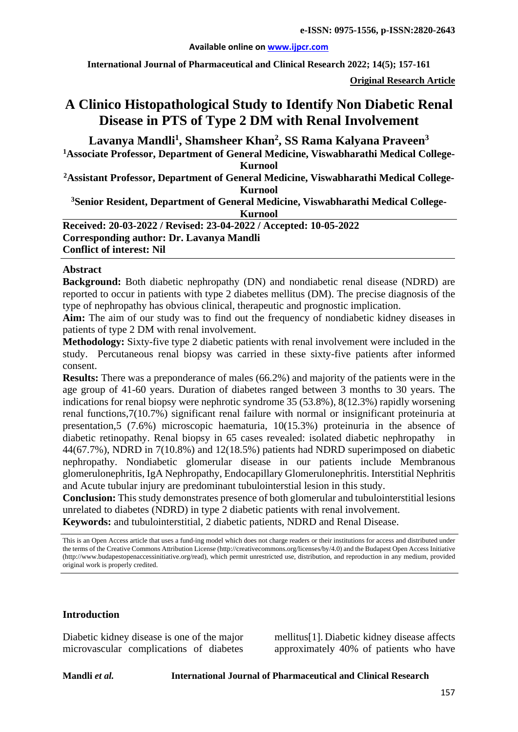#### **Available online on [www.ijpcr.com](http://www.ijpcr.com/)**

**International Journal of Pharmaceutical and Clinical Research 2022; 14(5); 157-161**

**Original Research Article**

# **A Clinico Histopathological Study to Identify Non Diabetic Renal Disease in PTS of Type 2 DM with Renal Involvement**

**Lavanya Mandli1 , Shamsheer Khan<sup>2</sup> , SS Rama Kalyana Praveen<sup>3</sup> 1Associate Professor, Department of General Medicine, Viswabharathi Medical College-Kurnool 2Assistant Professor, Department of General Medicine, Viswabharathi Medical College-Kurnool 3 Senior Resident, Department of General Medicine, Viswabharathi Medical College-Kurnool Received: 20-03-2022 / Revised: 23-04-2022 / Accepted: 10-05-2022 Corresponding author: Dr. Lavanya Mandli Conflict of interest: Nil**

#### **Abstract**

**Background:** Both diabetic nephropathy (DN) and nondiabetic renal disease (NDRD) are reported to occur in patients with type 2 diabetes mellitus (DM). The precise diagnosis of the type of nephropathy has obvious clinical, therapeutic and prognostic implication.

**Aim:** The aim of our study was to find out the frequency of nondiabetic kidney diseases in patients of type 2 DM with renal involvement.

**Methodology:** Sixty-five type 2 diabetic patients with renal involvement were included in the study. Percutaneous renal biopsy was carried in these sixty-five patients after informed consent.

**Results:** There was a preponderance of males (66.2%) and majority of the patients were in the age group of 41-60 years. Duration of diabetes ranged between 3 months to 30 years. The indications for renal biopsy were nephrotic syndrome 35 (53.8%), 8(12.3%) rapidly worsening renal functions,7(10.7%) significant renal failure with normal or insignificant proteinuria at presentation,5 (7.6%) microscopic haematuria, 10(15.3%) proteinuria in the absence of diabetic retinopathy. Renal biopsy in 65 cases revealed: isolated diabetic nephropathy in 44(67.7%), NDRD in 7(10.8%) and 12(18.5%) patients had NDRD superimposed on diabetic nephropathy. Nondiabetic glomerular disease in our patients include Membranous glomerulonephritis, IgA Nephropathy, Endocapillary Glomerulonephritis. Interstitial Nephritis and Acute tubular injury are predominant tubulointerstial lesion in this study.

**Conclusion:** This study demonstrates presence of both glomerular and tubulointerstitial lesions unrelated to diabetes (NDRD) in type 2 diabetic patients with renal involvement.

**Keywords:** and tubulointerstitial, 2 diabetic patients, NDRD and Renal Disease.

This is an Open Access article that uses a fund-ing model which does not charge readers or their institutions for access and distributed under the terms of the Creative Commons Attribution License (http://creativecommons.org/licenses/by/4.0) and the Budapest Open Access Initiative (http://www.budapestopenaccessinitiative.org/read), which permit unrestricted use, distribution, and reproduction in any medium, provided original work is properly credited.

#### **Introduction**

Diabetic kidney disease is one of the major microvascular complications of diabetes mellitus[1]. Diabetic kidney disease affects approximately 40% of patients who have

**Mandli** *et al.* **International Journal of Pharmaceutical and Clinical Research**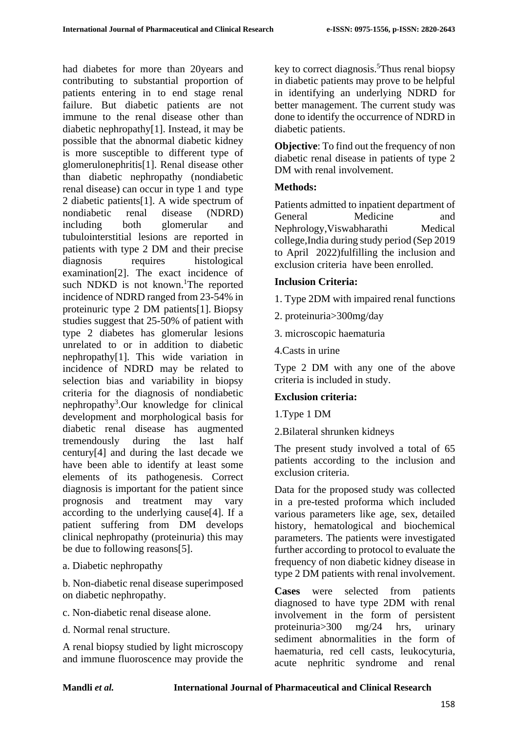had diabetes for more than 20years and contributing to substantial proportion of patients entering in to end stage renal failure. But diabetic patients are not immune to the renal disease other than diabetic nephropathy[1]. Instead, it may be possible that the abnormal diabetic kidney is more susceptible to different type of glomerulonephritis[1]. Renal disease other than diabetic nephropathy (nondiabetic renal disease) can occur in type 1 and type 2 diabetic patients[1]. A wide spectrum of<br>nondiabetic renal disease (NDRD) nondiabetic renal disease including both glomerular and tubulointerstitial lesions are reported in patients with type 2 DM and their precise diagnosis requires histological examination[2]. The exact incidence of such NDKD is not known.<sup>1</sup>The reported incidence of NDRD ranged from 23-54% in proteinuric type 2 DM patients[1]. Biopsy studies suggest that 25-50% of patient with type 2 diabetes has glomerular lesions unrelated to or in addition to diabetic nephropathy[1]. This wide variation in incidence of NDRD may be related to selection bias and variability in biopsy criteria for the diagnosis of nondiabetic nephropathy<sup>3</sup>.Our knowledge for clinical development and morphological basis for diabetic renal disease has augmented tremendously during the last half century[4] and during the last decade we have been able to identify at least some elements of its pathogenesis. Correct diagnosis is important for the patient since prognosis and treatment may vary according to the underlying cause[4]. If a patient suffering from DM develops clinical nephropathy (proteinuria) this may be due to following reasons[5].

a. Diabetic nephropathy

b. Non-diabetic renal disease superimposed on diabetic nephropathy.

- c. Non-diabetic renal disease alone.
- d. Normal renal structure.

A renal biopsy studied by light microscopy and immune fluoroscence may provide the key to correct diagnosis.<sup>5</sup>Thus renal biopsy in diabetic patients may prove to be helpful in identifying an underlying NDRD for better management. The current study was done to identify the occurrence of NDRD in diabetic patients.

**Objective**: To find out the frequency of non diabetic renal disease in patients of type 2 DM with renal involvement.

## **Methods:**

Patients admitted to inpatient department of General Medicine and Nephrology,Viswabharathi Medical college,India during study period (Sep 2019 to April 2022)fulfilling the inclusion and exclusion criteria have been enrolled.

## **Inclusion Criteria:**

- 1. Type 2DM with impaired renal functions
- 2. proteinuria>300mg/day
- 3. microscopic haematuria
- 4.Casts in urine

Type 2 DM with any one of the above criteria is included in study.

## **Exclusion criteria:**

1.Type 1 DM

2.Bilateral shrunken kidneys

The present study involved a total of 65 patients according to the inclusion and exclusion criteria.

Data for the proposed study was collected in a pre-tested proforma which included various parameters like age, sex, detailed history, hematological and biochemical parameters. The patients were investigated further according to protocol to evaluate the frequency of non diabetic kidney disease in type 2 DM patients with renal involvement.

**Cases** were selected from patients diagnosed to have type 2DM with renal involvement in the form of persistent proteinuria>300 mg/24 hrs, urinary sediment abnormalities in the form of haematuria, red cell casts, leukocyturia, acute nephritic syndrome and renal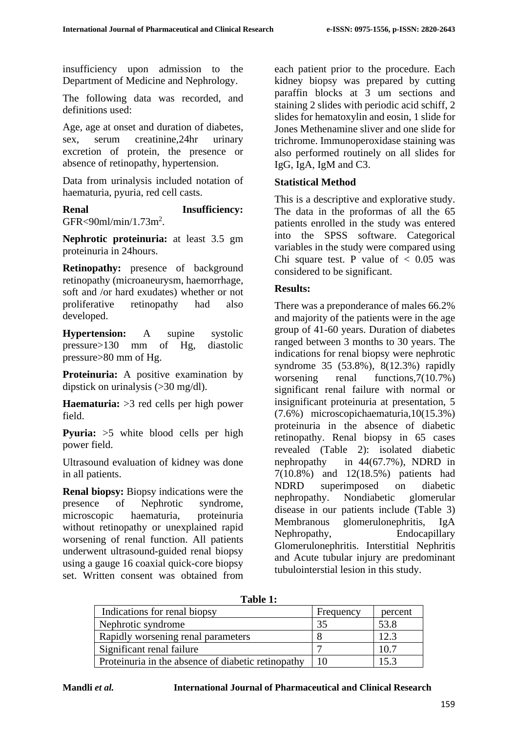insufficiency upon admission to the Department of Medicine and Nephrology.

The following data was recorded, and definitions used:

Age, age at onset and duration of diabetes, sex, serum creatinine,24hr urinary excretion of protein, the presence or absence of retinopathy, hypertension.

Data from urinalysis included notation of haematuria, pyuria, red cell casts.

## **Renal Insufficiency:** GFR<90ml/min/1.73m<sup>2</sup>.

**Nephrotic proteinuria:** at least 3.5 gm proteinuria in 24hours.

**Retinopathy:** presence of background retinopathy (microaneurysm, haemorrhage, soft and /or hard exudates) whether or not proliferative retinopathy had also developed.

**Hypertension:** A supine systolic pressure>130 mm of Hg, diastolic pressure>80 mm of Hg.

**Proteinuria:** A positive examination by dipstick on urinalysis (>30 mg/dl).

**Haematuria:** >3 red cells per high power field.

**Pyuria:** >5 white blood cells per high power field.

Ultrasound evaluation of kidney was done in all patients.

**Renal biopsy:** Biopsy indications were the presence of Nephrotic syndrome, microscopic haematuria, proteinuria without retinopathy or unexplained rapid worsening of renal function. All patients underwent ultrasound-guided renal biopsy using a gauge 16 coaxial quick-core biopsy set. Written consent was obtained from each patient prior to the procedure. Each kidney biopsy was prepared by cutting paraffin blocks at 3 um sections and staining 2 slides with periodic acid schiff, 2 slides for hematoxylin and eosin, 1 slide for Jones Methenamine sliver and one slide for trichrome. Immunoperoxidase staining was also performed routinely on all slides for IgG, IgA, IgM and C3.

# **Statistical Method**

This is a descriptive and explorative study. The data in the proformas of all the 65 patients enrolled in the study was entered into the SPSS software. Categorical variables in the study were compared using Chi square test. P value of  $< 0.05$  was considered to be significant.

# **Results:**

There was a preponderance of males 66.2% and majority of the patients were in the age group of 41-60 years. Duration of diabetes ranged between 3 months to 30 years. The indications for renal biopsy were nephrotic syndrome 35 (53.8%), 8(12.3%) rapidly worsening renal functions,  $7(10.7%)$ significant renal failure with normal or insignificant proteinuria at presentation, 5 (7.6%) microscopichaematuria,10(15.3%) proteinuria in the absence of diabetic retinopathy. Renal biopsy in 65 cases revealed (Table 2): isolated diabetic nephropathy in 44(67.7%), NDRD in 7(10.8%) and 12(18.5%) patients had NDRD superimposed on diabetic nephropathy. Nondiabetic glomerular disease in our patients include (Table 3) Membranous glomerulonephritis, IgA Nephropathy, Endocapillary Glomerulonephritis. Interstitial Nephritis and Acute tubular injury are predominant tubulointerstial lesion in this study.

**Table 1:**

| $\sim$ $\sim$ $\sim$ $\sim$ $\sim$                 |           |         |
|----------------------------------------------------|-----------|---------|
| Indications for renal biopsy                       | Frequency | percent |
| Nephrotic syndrome                                 | 35        | 53.8    |
| Rapidly worsening renal parameters                 |           | 12.3    |
| Significant renal failure                          |           | 10.7    |
| Proteinuria in the absence of diabetic retinopathy | 10        | 153     |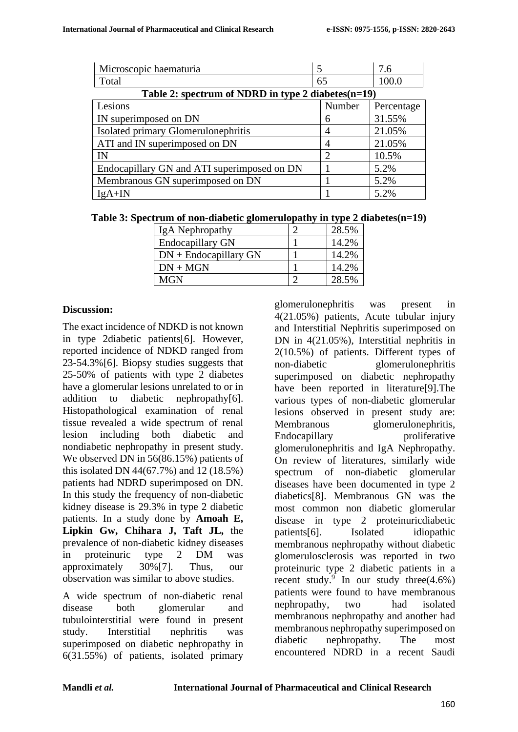| Microscopic haematuria                                |                | 7.6        |  |  |
|-------------------------------------------------------|----------------|------------|--|--|
| Total                                                 | 65             | 100.0      |  |  |
| Table 2: spectrum of NDRD in type 2 diabetes $(n=19)$ |                |            |  |  |
| Lesions                                               | Number         | Percentage |  |  |
| IN superimposed on DN                                 | 6              | 31.55%     |  |  |
| Isolated primary Glomerulonephritis                   | $\overline{4}$ | 21.05%     |  |  |
| ATI and IN superimposed on DN                         | 4              | 21.05%     |  |  |
| IN                                                    | $\mathcal{D}$  | 10.5%      |  |  |
| Endocapillary GN and ATI superimposed on DN           |                | 5.2%       |  |  |
| Membranous GN superimposed on DN                      |                | 5.2%       |  |  |
| $IgA+IN$                                              |                | 5.2%       |  |  |

| IgA Nephropathy         | 28.5% |
|-------------------------|-------|
| <b>Endocapillary GN</b> | 14.2% |
| $DN$ + Endocapillary GN | 14.2% |
| $DN + MGN$              | 14.2% |
| <b>MGN</b>              | 28.5% |

## **Discussion:**

The exact incidence of NDKD is not known in type 2diabetic patients[6]. However, reported incidence of NDKD ranged from 23-54.3%[6]. Biopsy studies suggests that 25-50% of patients with type 2 diabetes have a glomerular lesions unrelated to or in addition to diabetic nephropathy[6]. Histopathological examination of renal tissue revealed a wide spectrum of renal lesion including both diabetic and nondiabetic nephropathy in present study. We observed DN in 56(86.15%) patients of this isolated DN 44(67.7%) and 12 (18.5%) patients had NDRD superimposed on DN. In this study the frequency of non-diabetic kidney disease is 29.3% in type 2 diabetic patients. In a study done by **Amoah E, Lipkin Gw, Chihara J, Taft JL,** the prevalence of non-diabetic kidney diseases in proteinuric type 2 DM was approximately 30%[7]. Thus, our observation was similar to above studies.

A wide spectrum of non-diabetic renal disease both glomerular and tubulointerstitial were found in present study. Interstitial nephritis was superimposed on diabetic nephropathy in 6(31.55%) of patients, isolated primary

glomerulonephritis was present in 4(21.05%) patients, Acute tubular injury and Interstitial Nephritis superimposed on DN in 4(21.05%), Interstitial nephritis in 2(10.5%) of patients. Different types of non-diabetic glomerulonephritis superimposed on diabetic nephropathy have been reported in literature[9].The various types of non-diabetic glomerular lesions observed in present study are: Membranous glomerulonephritis, Endocapillary proliferative glomerulonephritis and IgA Nephropathy. On review of literatures, similarly wide spectrum of non-diabetic glomerular diseases have been documented in type 2 diabetics[8]. Membranous GN was the most common non diabetic glomerular disease in type 2 proteinuricdiabetic patients[6]. Isolated idiopathic membranous nephropathy without diabetic glomerulosclerosis was reported in two proteinuric type 2 diabetic patients in a recent study.<sup>9</sup> In our study three $(4.6\%)$ patients were found to have membranous nephropathy, two had isolated membranous nephropathy and another had membranous nephropathy superimposed on diabetic nephropathy. The most encountered NDRD in a recent Saudi